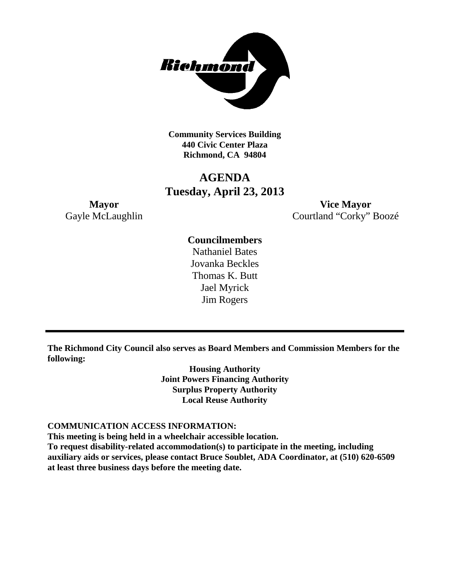

**Community Services Building 440 Civic Center Plaza Richmond, CA 94804**

# **AGENDA Tuesday, April 23, 2013**

**Mayor Vice Mayor** Gayle McLaughlin Courtland "Corky" Boozé

## **Councilmembers**

Nathaniel Bates Jovanka Beckles Thomas K. Butt Jael Myrick Jim Rogers

**The Richmond City Council also serves as Board Members and Commission Members for the following:**

> **Housing Authority Joint Powers Financing Authority Surplus Property Authority Local Reuse Authority**

#### **COMMUNICATION ACCESS INFORMATION:**

**This meeting is being held in a wheelchair accessible location.**

**To request disability-related accommodation(s) to participate in the meeting, including auxiliary aids or services, please contact Bruce Soublet, ADA Coordinator, at (510) 620-6509 at least three business days before the meeting date.**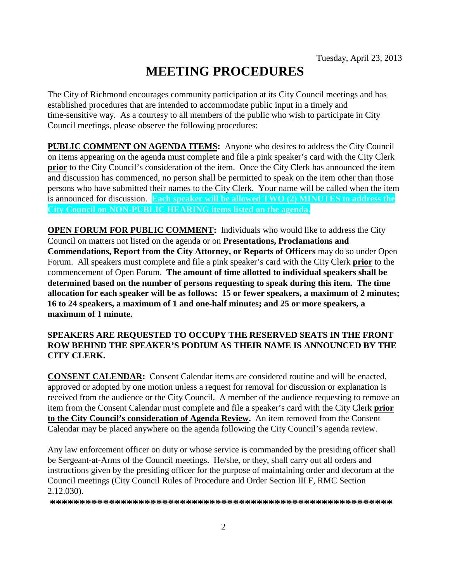# **MEETING PROCEDURES**

The City of Richmond encourages community participation at its City Council meetings and has established procedures that are intended to accommodate public input in a timely and time-sensitive way. As a courtesy to all members of the public who wish to participate in City Council meetings, please observe the following procedures:

**PUBLIC COMMENT ON AGENDA ITEMS:** Anyone who desires to address the City Council on items appearing on the agenda must complete and file a pink speaker's card with the City Clerk **prior** to the City Council's consideration of the item. Once the City Clerk has announced the item and discussion has commenced, no person shall be permitted to speak on the item other than those persons who have submitted their names to the City Clerk. Your name will be called when the item is announced for discussion. **Each speaker will be allowed TWO (2) MINUTES to address the City Council on NON-PUBLIC HEARING items listed on the agenda.**

**OPEN FORUM FOR PUBLIC COMMENT:** Individuals who would like to address the City Council on matters not listed on the agenda or on **Presentations, Proclamations and Commendations, Report from the City Attorney, or Reports of Officers** may do so under Open Forum. All speakers must complete and file a pink speaker's card with the City Clerk **prior** to the commencement of Open Forum. **The amount of time allotted to individual speakers shall be determined based on the number of persons requesting to speak during this item. The time allocation for each speaker will be as follows: 15 or fewer speakers, a maximum of 2 minutes; 16 to 24 speakers, a maximum of 1 and one-half minutes; and 25 or more speakers, a maximum of 1 minute.**

#### **SPEAKERS ARE REQUESTED TO OCCUPY THE RESERVED SEATS IN THE FRONT ROW BEHIND THE SPEAKER'S PODIUM AS THEIR NAME IS ANNOUNCED BY THE CITY CLERK.**

**CONSENT CALENDAR:** Consent Calendar items are considered routine and will be enacted, approved or adopted by one motion unless a request for removal for discussion or explanation is received from the audience or the City Council. A member of the audience requesting to remove an item from the Consent Calendar must complete and file a speaker's card with the City Clerk **prior to the City Council's consideration of Agenda Review.** An item removed from the Consent Calendar may be placed anywhere on the agenda following the City Council's agenda review.

Any law enforcement officer on duty or whose service is commanded by the presiding officer shall be Sergeant-at-Arms of the Council meetings. He/she, or they, shall carry out all orders and instructions given by the presiding officer for the purpose of maintaining order and decorum at the Council meetings (City Council Rules of Procedure and Order Section III F, RMC Section 2.12.030).

**\*\*\*\*\*\*\*\*\*\*\*\*\*\*\*\*\*\*\*\*\*\*\*\*\*\*\*\*\*\*\*\*\*\*\*\*\*\*\*\*\*\*\*\*\*\*\*\*\*\*\*\*\*\*\*\*\*\***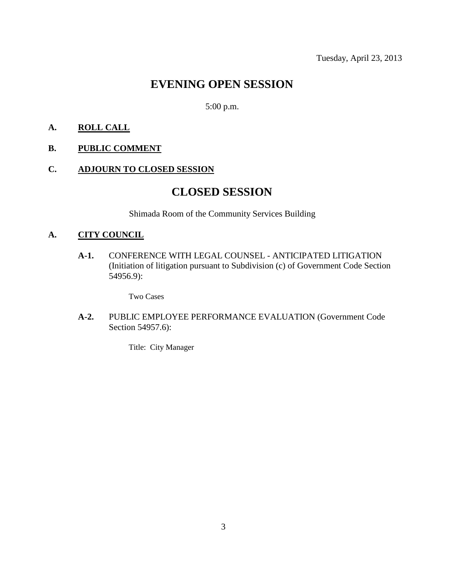# **EVENING OPEN SESSION**

5:00 p.m.

### **A. ROLL CALL**

### **B. PUBLIC COMMENT**

#### **C. ADJOURN TO CLOSED SESSION**

## **CLOSED SESSION**

Shimada Room of the Community Services Building

#### **A. CITY COUNCIL**

**A-1.** CONFERENCE WITH LEGAL COUNSEL - ANTICIPATED LITIGATION (Initiation of litigation pursuant to Subdivision (c) of Government Code Section 54956.9):

Two Cases

**A-2.** PUBLIC EMPLOYEE PERFORMANCE EVALUATION (Government Code Section 54957.6):

Title: City Manager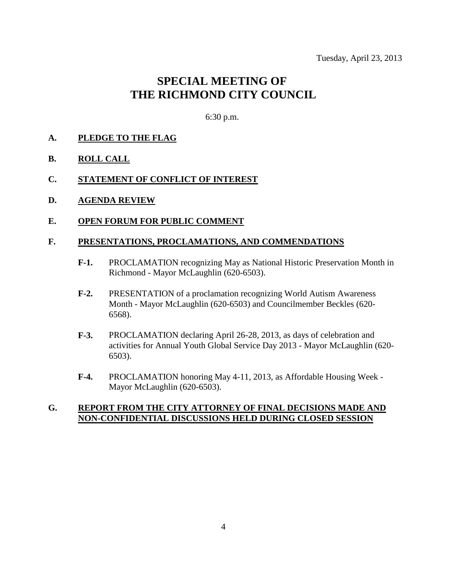# **SPECIAL MEETING OF THE RICHMOND CITY COUNCIL**

6:30 p.m.

#### **A. PLEDGE TO THE FLAG**

- **B. ROLL CALL**
- **C. STATEMENT OF CONFLICT OF INTEREST**
- **D. AGENDA REVIEW**

#### **E. OPEN FORUM FOR PUBLIC COMMENT**

#### **F. PRESENTATIONS, PROCLAMATIONS, AND COMMENDATIONS**

- **F-1.** PROCLAMATION recognizing May as National Historic Preservation Month in Richmond - Mayor McLaughlin (620-6503).
- **F-2.** PRESENTATION of a proclamation recognizing World Autism Awareness Month - Mayor McLaughlin (620-6503) and Councilmember Beckles (620- 6568).
- **F-3.** PROCLAMATION declaring April 26-28, 2013, as days of celebration and activities for Annual Youth Global Service Day 2013 - Mayor McLaughlin (620- 6503).
- **F-4.** PROCLAMATION honoring May 4-11, 2013, as Affordable Housing Week Mayor McLaughlin (620-6503).

#### **G. REPORT FROM THE CITY ATTORNEY OF FINAL DECISIONS MADE AND NON-CONFIDENTIAL DISCUSSIONS HELD DURING CLOSED SESSION**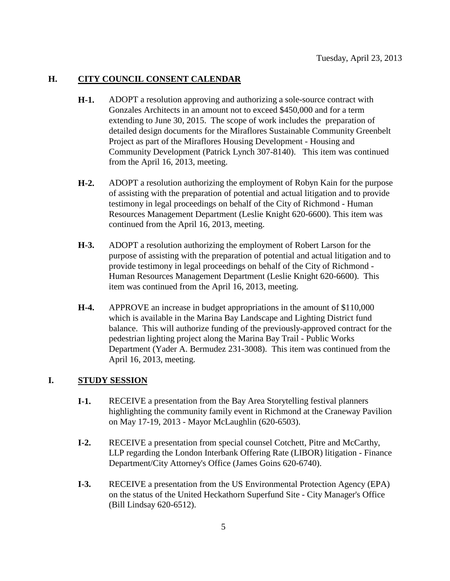#### **H. CITY COUNCIL CONSENT CALENDAR**

- **H-1.** ADOPT a resolution approving and authorizing a sole-source contract with Gonzales Architects in an amount not to exceed \$450,000 and for a term extending to June 30, 2015. The scope of work includes the preparation of detailed design documents for the Miraflores Sustainable Community Greenbelt Project as part of the Miraflores Housing Development - Housing and Community Development (Patrick Lynch 307-8140). This item was continued from the April 16, 2013, meeting.
- **H-2.** ADOPT a resolution authorizing the employment of Robyn Kain for the purpose of assisting with the preparation of potential and actual litigation and to provide testimony in legal proceedings on behalf of the City of Richmond - Human Resources Management Department (Leslie Knight 620-6600). This item was continued from the April 16, 2013, meeting.
- **H-3.** ADOPT a resolution authorizing the employment of Robert Larson for the purpose of assisting with the preparation of potential and actual litigation and to provide testimony in legal proceedings on behalf of the City of Richmond - Human Resources Management Department (Leslie Knight 620-6600). This item was continued from the April 16, 2013, meeting.
- **H-4.** APPROVE an increase in budget appropriations in the amount of \$110,000 which is available in the Marina Bay Landscape and Lighting District fund balance. This will authorize funding of the previously-approved contract for the pedestrian lighting project along the Marina Bay Trail - Public Works Department (Yader A. Bermudez 231-3008). This item was continued from the April 16, 2013, meeting.

## **I. STUDY SESSION**

- **I-1.** RECEIVE a presentation from the Bay Area Storytelling festival planners highlighting the community family event in Richmond at the Craneway Pavilion on May 17-19, 2013 - Mayor McLaughlin (620-6503).
- **I-2.** RECEIVE a presentation from special counsel Cotchett, Pitre and McCarthy, LLP regarding the London Interbank Offering Rate (LIBOR) litigation - Finance Department/City Attorney's Office (James Goins 620-6740).
- **I-3.** RECEIVE a presentation from the US Environmental Protection Agency (EPA) on the status of the United Heckathorn Superfund Site - City Manager's Office (Bill Lindsay 620-6512).